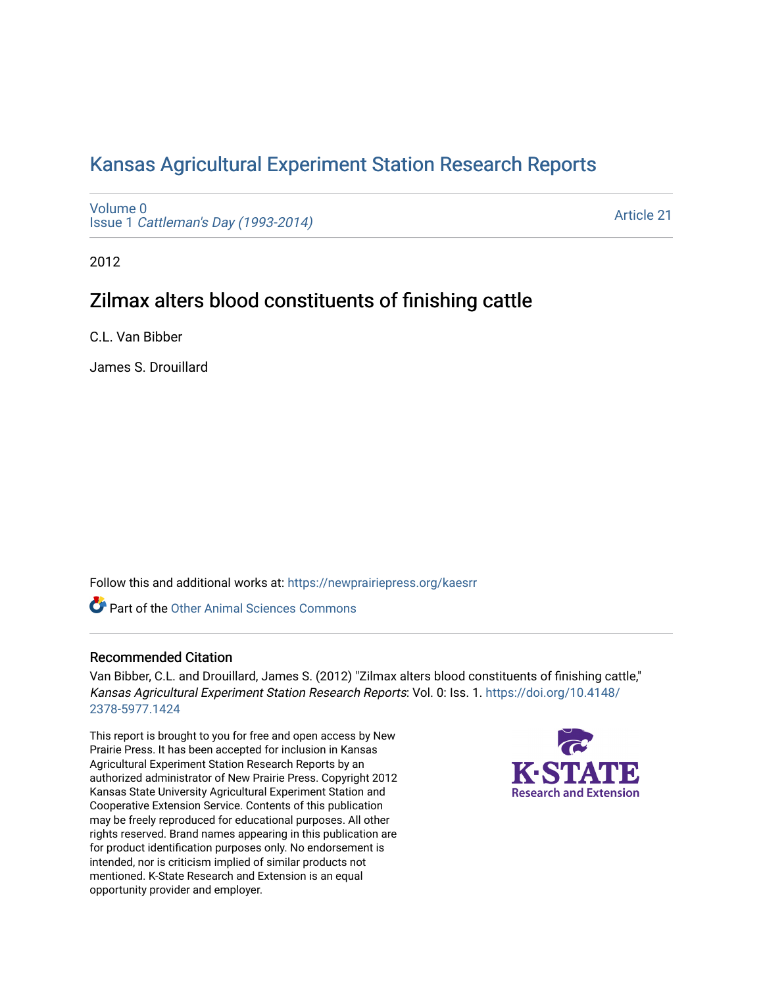# [Kansas Agricultural Experiment Station Research Reports](https://newprairiepress.org/kaesrr)

[Volume 0](https://newprairiepress.org/kaesrr/vol0) Issue 1 [Cattleman's Day \(1993-2014\)](https://newprairiepress.org/kaesrr/vol0/iss1) 

[Article 21](https://newprairiepress.org/kaesrr/vol0/iss1/21) 

2012

# Zilmax alters blood constituents of finishing cattle

C.L. Van Bibber

James S. Drouillard

Follow this and additional works at: [https://newprairiepress.org/kaesrr](https://newprairiepress.org/kaesrr?utm_source=newprairiepress.org%2Fkaesrr%2Fvol0%2Fiss1%2F21&utm_medium=PDF&utm_campaign=PDFCoverPages) 

**C** Part of the [Other Animal Sciences Commons](http://network.bepress.com/hgg/discipline/82?utm_source=newprairiepress.org%2Fkaesrr%2Fvol0%2Fiss1%2F21&utm_medium=PDF&utm_campaign=PDFCoverPages)

### Recommended Citation

Van Bibber, C.L. and Drouillard, James S. (2012) "Zilmax alters blood constituents of finishing cattle," Kansas Agricultural Experiment Station Research Reports: Vol. 0: Iss. 1. [https://doi.org/10.4148/](https://doi.org/10.4148/2378-5977.1424) [2378-5977.1424](https://doi.org/10.4148/2378-5977.1424) 

This report is brought to you for free and open access by New Prairie Press. It has been accepted for inclusion in Kansas Agricultural Experiment Station Research Reports by an authorized administrator of New Prairie Press. Copyright 2012 Kansas State University Agricultural Experiment Station and Cooperative Extension Service. Contents of this publication may be freely reproduced for educational purposes. All other rights reserved. Brand names appearing in this publication are for product identification purposes only. No endorsement is intended, nor is criticism implied of similar products not mentioned. K-State Research and Extension is an equal opportunity provider and employer.

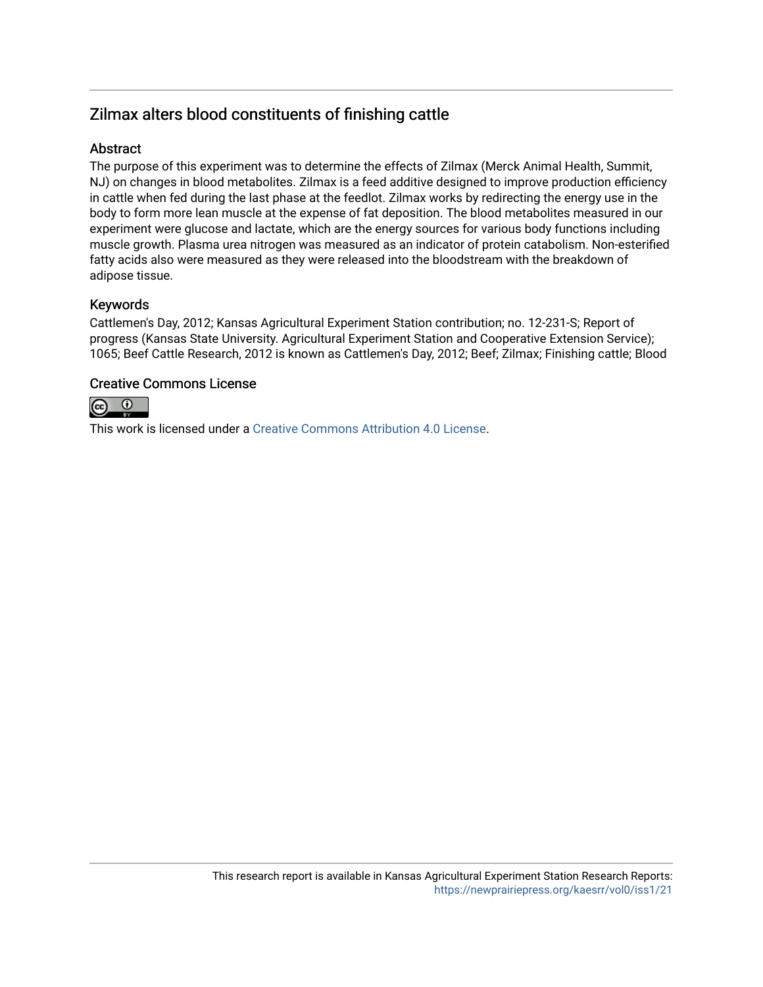# Zilmax alters blood constituents of finishing cattle

### **Abstract**

The purpose of this experiment was to determine the effects of Zilmax (Merck Animal Health, Summit, NJ) on changes in blood metabolites. Zilmax is a feed additive designed to improve production efficiency in cattle when fed during the last phase at the feedlot. Zilmax works by redirecting the energy use in the body to form more lean muscle at the expense of fat deposition. The blood metabolites measured in our experiment were glucose and lactate, which are the energy sources for various body functions including muscle growth. Plasma urea nitrogen was measured as an indicator of protein catabolism. Non-esterified fatty acids also were measured as they were released into the bloodstream with the breakdown of adipose tissue.

### Keywords

Cattlemen's Day, 2012; Kansas Agricultural Experiment Station contribution; no. 12-231-S; Report of progress (Kansas State University. Agricultural Experiment Station and Cooperative Extension Service); 1065; Beef Cattle Research, 2012 is known as Cattlemen's Day, 2012; Beef; Zilmax; Finishing cattle; Blood

### Creative Commons License



This work is licensed under a [Creative Commons Attribution 4.0 License](https://creativecommons.org/licenses/by/4.0/).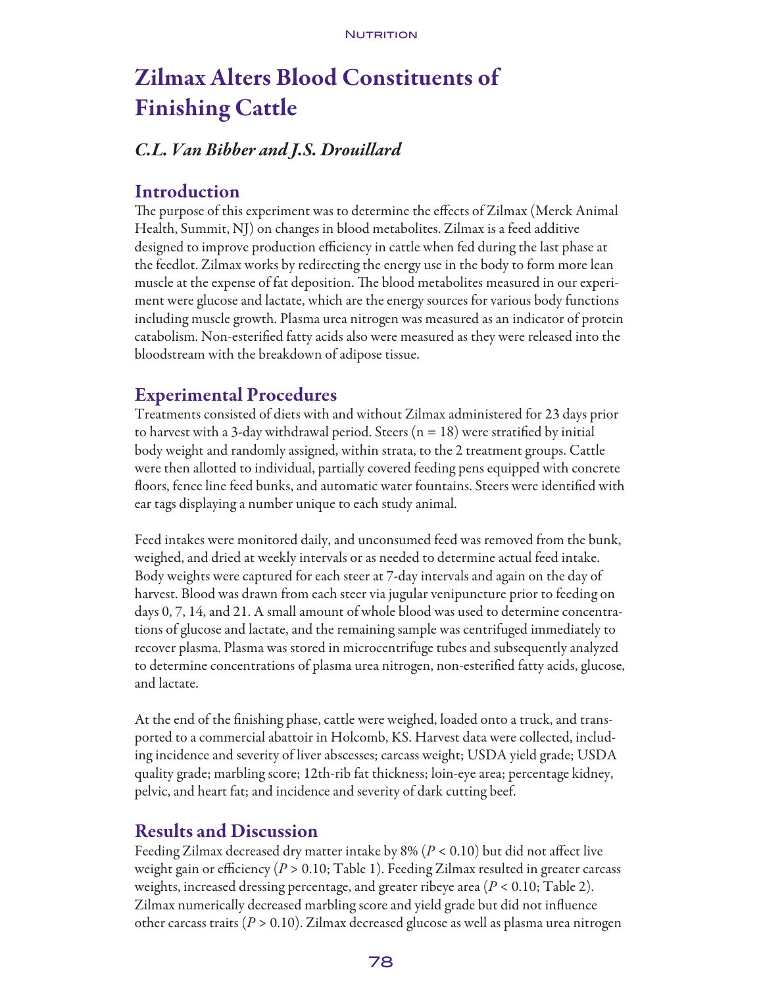# Zilmax Alters Blood Constituents of Finishing Cattle

# *C.L. Van Bibber and J.S. Drouillard*

### Introduction

The purpose of this experiment was to determine the effects of Zilmax (Merck Animal Health, Summit, NJ) on changes in blood metabolites. Zilmax is a feed additive designed to improve production efficiency in cattle when fed during the last phase at the feedlot. Zilmax works by redirecting the energy use in the body to form more lean muscle at the expense of fat deposition. The blood metabolites measured in our experiment were glucose and lactate, which are the energy sources for various body functions including muscle growth. Plasma urea nitrogen was measured as an indicator of protein catabolism. Non-esterified fatty acids also were measured as they were released into the bloodstream with the breakdown of adipose tissue.

## Experimental Procedures

Treatments consisted of diets with and without Zilmax administered for 23 days prior to harvest with a 3-day withdrawal period. Steers ( $n = 18$ ) were stratified by initial body weight and randomly assigned, within strata, to the 2 treatment groups. Cattle were then allotted to individual, partially covered feeding pens equipped with concrete floors, fence line feed bunks, and automatic water fountains. Steers were identified with ear tags displaying a number unique to each study animal.

Feed intakes were monitored daily, and unconsumed feed was removed from the bunk, weighed, and dried at weekly intervals or as needed to determine actual feed intake. Body weights were captured for each steer at 7-day intervals and again on the day of harvest. Blood was drawn from each steer via jugular venipuncture prior to feeding on days 0, 7, 14, and 21. A small amount of whole blood was used to determine concentrations of glucose and lactate, and the remaining sample was centrifuged immediately to recover plasma. Plasma was stored in microcentrifuge tubes and subsequently analyzed to determine concentrations of plasma urea nitrogen, non-esterified fatty acids, glucose, and lactate.

At the end of the finishing phase, cattle were weighed, loaded onto a truck, and transported to a commercial abattoir in Holcomb, KS. Harvest data were collected, including incidence and severity of liver abscesses; carcass weight; USDA yield grade; USDA quality grade; marbling score; 12th-rib fat thickness; loin-eye area; percentage kidney, pelvic, and heart fat; and incidence and severity of dark cutting beef.

## Results and Discussion

Feeding Zilmax decreased dry matter intake by 8% (*P* < 0.10) but did not affect live weight gain or efficiency (*P* > 0.10; Table 1). Feeding Zilmax resulted in greater carcass weights, increased dressing percentage, and greater ribeye area (*P* < 0.10; Table 2). Zilmax numerically decreased marbling score and yield grade but did not influence other carcass traits (*P* > 0.10). Zilmax decreased glucose as well as plasma urea nitrogen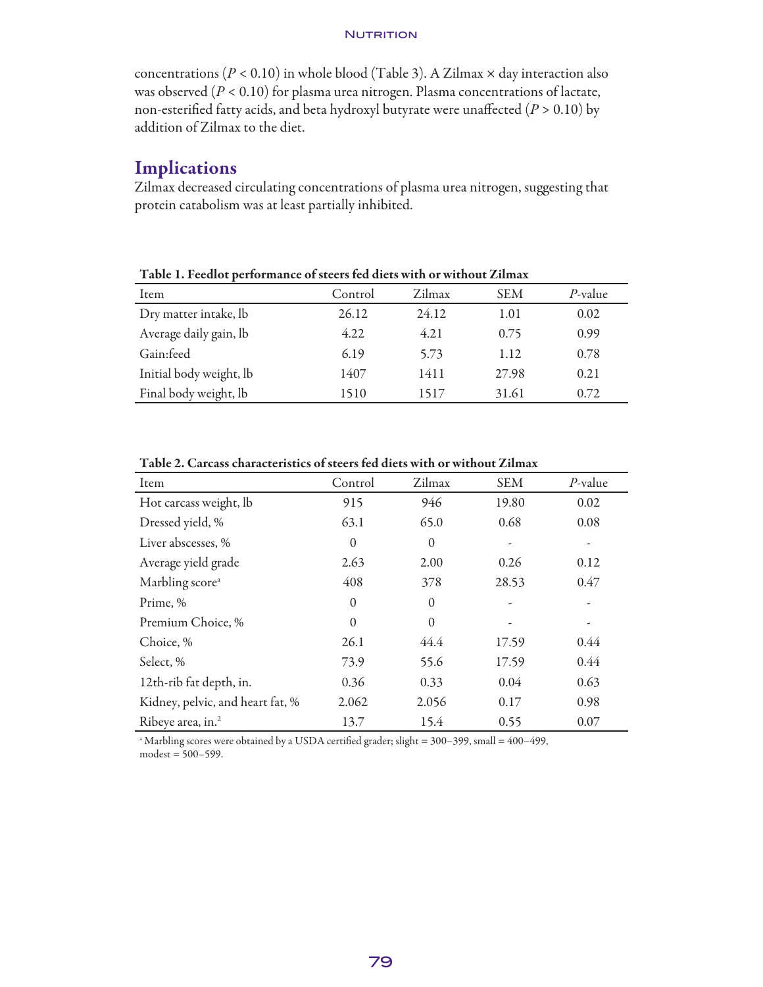#### **NUTRITION**

concentrations (*P* < 0.10) in whole blood (Table 3). A Zilmax × day interaction also was observed (*P* < 0.10) for plasma urea nitrogen. Plasma concentrations of lactate, non-esterified fatty acids, and beta hydroxyl butyrate were unaffected (*P* > 0.10) by addition of Zilmax to the diet.

### Implications

Zilmax decreased circulating concentrations of plasma urea nitrogen, suggesting that protein catabolism was at least partially inhibited.

| Table 1. Petulot performance of secels fed thets with of without Zhinax |              |        |            |            |  |  |  |  |
|-------------------------------------------------------------------------|--------------|--------|------------|------------|--|--|--|--|
| Item                                                                    | Control      | Zilmax | <b>SEM</b> | $P$ -value |  |  |  |  |
| Dry matter intake, lb                                                   | 26.12        | 24.12  | 1.01       | 0.02       |  |  |  |  |
| Average daily gain, lb                                                  | 4.22<br>4.21 |        | 0.75       | 0.99       |  |  |  |  |
| Gain:feed                                                               | 6.19         | 5.73   | 1.12       | 0.78       |  |  |  |  |
| Initial body weight, lb                                                 | 1407         | 1411   | 27.98      | 0.21       |  |  |  |  |
| Final body weight, lb                                                   | 1510         | 1517   | 31.61      | 0.72       |  |  |  |  |

Table 1. Feedlot performance of steers fed diets with or without Zilmax

| Item                             | Control  | Zilmax   | <b>SEM</b> | $P$ -value |  |
|----------------------------------|----------|----------|------------|------------|--|
| Hot carcass weight, lb           | 915      | 946      | 19.80      | 0.02       |  |
| Dressed yield, %                 | 63.1     | 65.0     |            | 0.08       |  |
| Liver abscesses, %               | $\theta$ | $\Omega$ |            |            |  |
| Average yield grade              | 2.63     | 2.00     | 0.26       |            |  |
| Marbling score <sup>a</sup>      | 408      | 378      | 28.53      | 0.47       |  |
| Prime, %                         | $\theta$ | $\Omega$ |            |            |  |
| Premium Choice, %                | $\theta$ | $\Omega$ |            |            |  |
| Choice, %                        | 26.1     | 44.4     | 17.59      | 0.44       |  |
| Select, %                        | 73.9     | 55.6     | 17.59      | 0.44       |  |
| 12th-rib fat depth, in.          | 0.36     | 0.33     | 0.04       | 0.63       |  |
| Kidney, pelvic, and heart fat, % | 2.062    | 2.056    | 0.17       | 0.98       |  |
| Ribeye area, in. <sup>2</sup>    | 13.7     | 15.4     | 0.55       | 0.07       |  |

Table 2. Carcass characteristics of steers fed diets with or without Zilmax

a Marbling scores were obtained by a USDA certified grader; slight = 300–399, small = 400–499,  $modest = 500 - 599.$